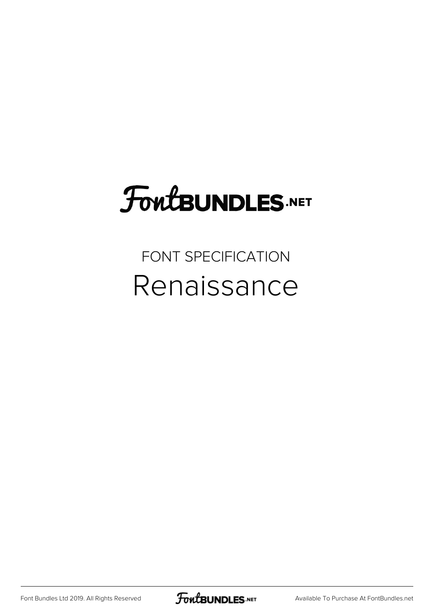## FoutBUNDLES.NET

## FONT SPECIFICATION Renaissance

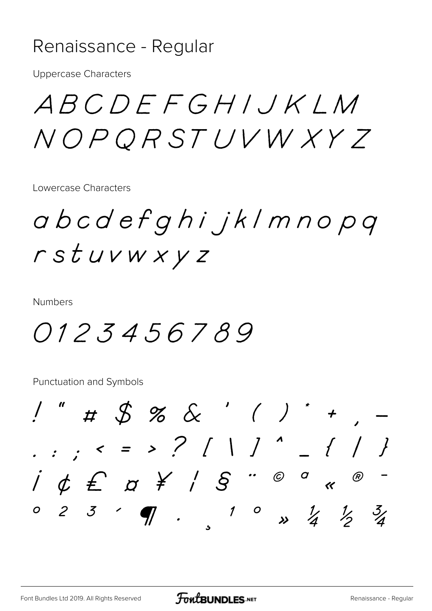## Renaissance - Regular

**Uppercase Characters** 

ABCDEFGHIJKLM NOPORSTUVWXY7

Lowercase Characters

abcdefghijklmnopq rstuvwxyz

**Numbers** 

0123456789

Punctuation and Symbols

 $1"$  # \$ % & ' ( ) \* +  $i \notin E$   $\alpha \nless i$   $S$  "  $\circ$   $\circ$  «  $0 2 3 4 7.$  $10$   $\frac{1}{4}$   $\frac{1}{2}$   $\frac{3}{4}$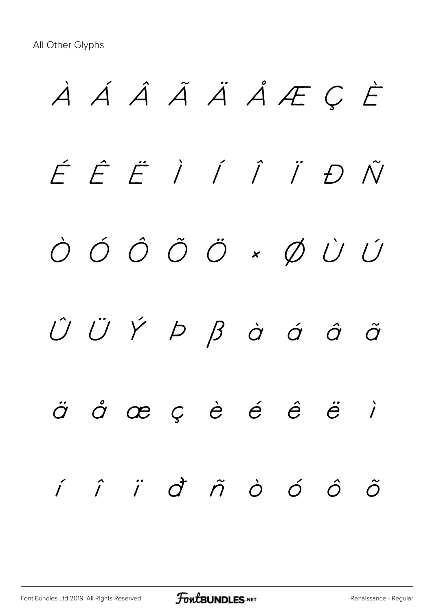À Á Â Ã Ä Å Æ Ç È É Ê Ë Ì Í Î Ï Ð Ñ Ò Ó Ô Õ Ö × Ø Ù Ú  $\hat{U}$   $\ddot{U}$   $\acute{Y}$   $\beta$   $\dot{\beta}$   $\dot{\alpha}$   $\dot{\alpha}$   $\ddot{\alpha}$  $\ddot{\sigma}$  å æ ç è é ê ë ì í î ï ð ñ ò ó ô õ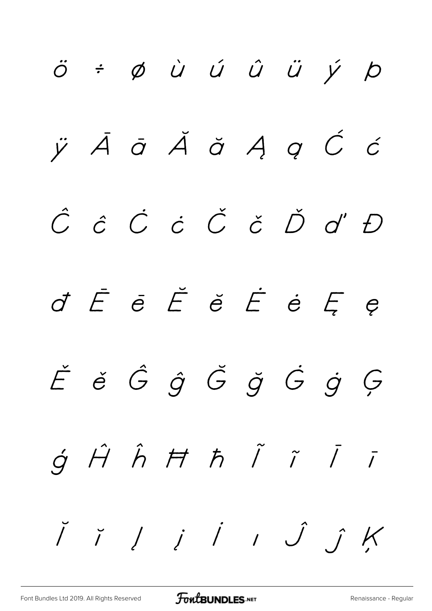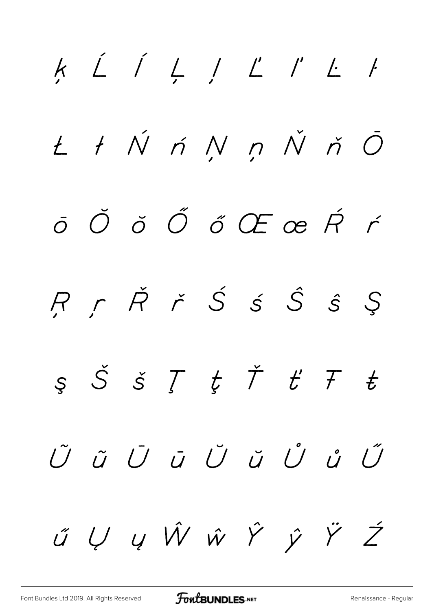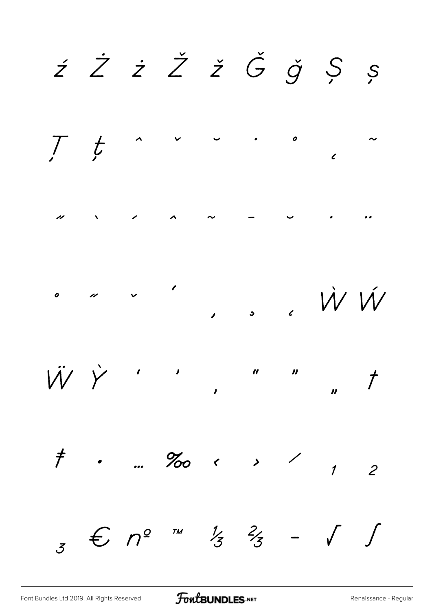ź Ż ż Ž ž Ğ ǧ Ș ș  $\mathcal{F}^{\text{max}}_{\text{max}}$  $\mathcal{T}$  $t$  $\boldsymbol{o}$  $\epsilon$  $\lambda$   $\sim$  $\mathscr{L}$  $\overline{\nu}$ W W  $\boldsymbol{o}$ W Y  $\overline{t}$  $\boldsymbol{\eta}$  $\dot{\mathcal{F}}$  .  $\%$  $\ddot{\phantom{0}}$  $\mathcal{S}$  $\overline{c}$  $\overline{1}$  $3 \text{ } \in \mathbb{C}$   $n^2$   $\frac{1}{2}$  $\int$  $\frac{1}{3}$   $\frac{2}{3}$  $\sqrt{ }$